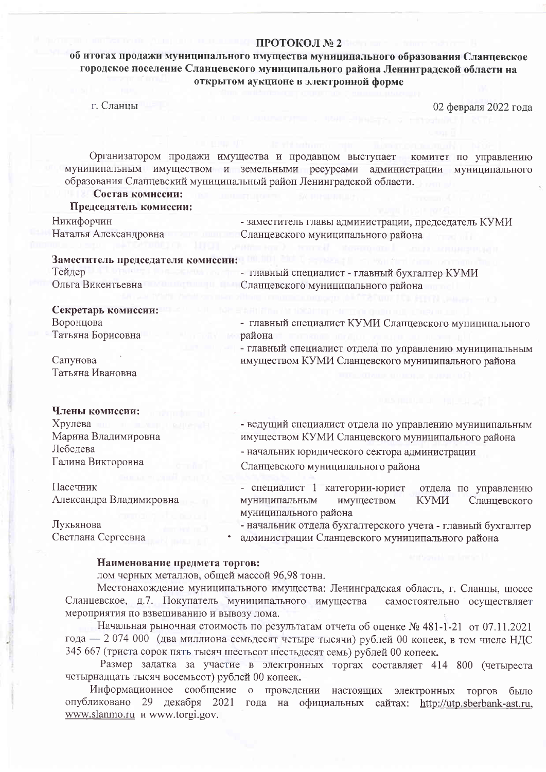#### ПРОТОКОЛ № 2

# об итогах продажи муниципального имущества муниципального образования Сланцевское городское поселение Сланцевского муниципального района Ленинградской области на открытом аукционе в электронной форме

г. Сланцы

02 февраля 2022 года

Организатором продажи имущества и продавцом выступает комитет по управлению муниципальным имуществом и земельными ресурсами администрации муниципального образования Сланцевский муниципальный район Ленинградской области.

## Состав комиссии:

### Председатель комиссии:

Никифорчин - заместитель главы администрации, председатель КУМИ Наталья Александровна Сланцевского муниципального района

#### Заместитель председателя комиссии:

Тейдер - главный специалист - главный бухгалтер КУМИ Ольга Викентьевна Сланцевского муниципального района

## Секретарь комиссии:

| Воронцова         | - главный специалист КУМИ Сланцевского муниципального                                             |
|-------------------|---------------------------------------------------------------------------------------------------|
| Татьяна Борисовна | района<br>2000 TO RETURN TO HELD AND RELEASED FOR THE UPPER TRANSPORTED TO A REPORT OF THE UPPER. |
|                   | - главный специалист отдела по управлению муниципальным                                           |

Сапунова Татьяна Ивановна

#### Члены комиссии.

| Хрулева<br><b>IT IS A TOTAL BUILDING</b> | - ведущий специалист отдела по управлению муниципальным<br>имуществом КУМИ Сланцевского муниципального района<br>- начальник юридического сектора администрации<br>Сланцевского муниципального района |  |  |
|------------------------------------------|-------------------------------------------------------------------------------------------------------------------------------------------------------------------------------------------------------|--|--|
| Марина Владимировна                      |                                                                                                                                                                                                       |  |  |
| Лебедева<br>Галина Викторовна            |                                                                                                                                                                                                       |  |  |
|                                          |                                                                                                                                                                                                       |  |  |
| Пасечник<br>Александра Владимировна      | - специалист 1 категории-юрист<br>отдела<br>управлению<br>$\Pi$ <sup>o</sup><br><b>КУМИ</b>                                                                                                           |  |  |
|                                          | Сланцевского<br>муниципальным<br>имуществом                                                                                                                                                           |  |  |

муниципального района

Александра Владимировна

Лукьянова Светлана Сергеевна - начальник отдела бухгалтерского учета - главный бухгалтер

- 
- администрации Сланцевского муниципального района

имуществом КУМИ Сланцевского муниципального района

### Наименование предмета торгов:

лом черных металлов, общей массой 96,98 тонн.

Местонахождение муниципального имущества: Ленинградская область, г. Сланцы, шоссе Сланцевское, д.7. Покупатель муниципального имущества самостоятельно осуществляет мероприятия по взвешиванию и вывозу лома.

Начальная рыночная стоимость по результатам отчета об оценке № 481-1-21 от 07.11.2021 года — 2 074 000 (два миллиона семьдесят четыре тысячи) рублей 00 копеек, в том числе НДС 345 667 (триста сорок пять тысяч шестьсот шестьдесят семь) рублей 00 копеек.

Размер задатка за участие в электронных торгах составляет 414 800 (четыреста четырнадцать тысяч восемьсот) рублей 00 копеек.

Информационное сообщение о проведении настоящих электронных торгов было опубликовано 29 декабря 2021 года на официальных сайтах: http://utp.sberbank-ast.ru, www.slanmo.ru и www.torgi.gov.